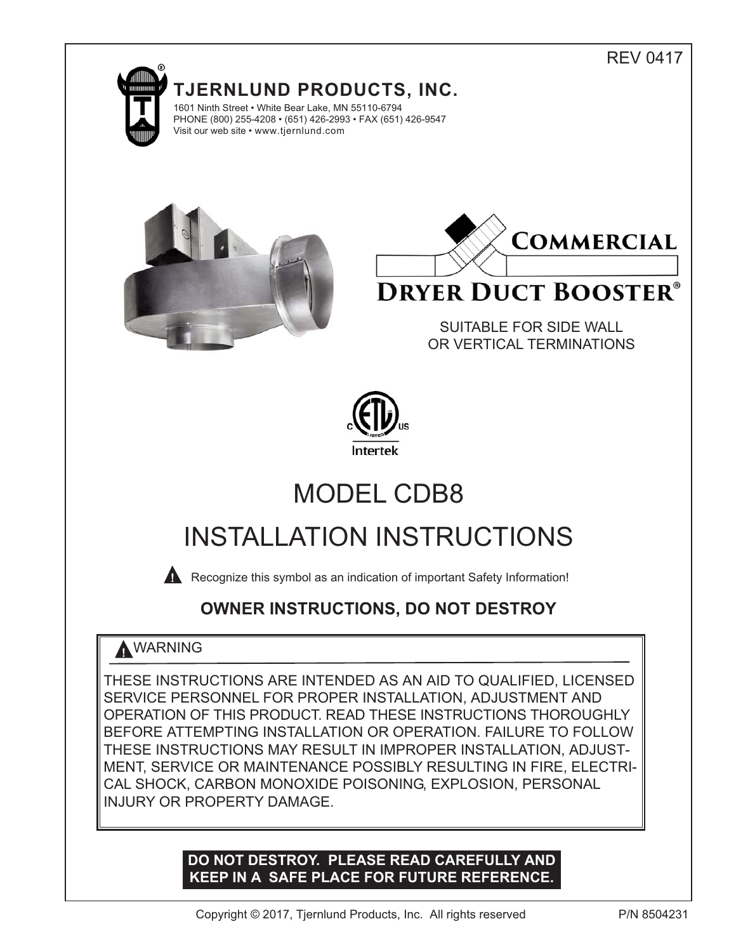## REV 0417



**TJERNLUND PRODUCTS, INC.** 1601 Ninth Street • White Bear Lake, MN 55110-6794





# **DRYER DUCT BOOSTER®**

SUITABLE FOR SIDE WALL OR VERTICAL TERMINATIONS



# MODEL CDB8

# INSTALLATION INSTRUCTIONS

**A** Recognize this symbol as an indication of important Safety Information!

# **OWNER INSTRUCTIONS, DO NOT DESTROY**

# **!** WARNING

THESE INSTRUCTIONS ARE INTENDED AS AN AID TO QUALIFIED, LICENSED SERVICE PERSONNEL FOR PROPER INSTALLATION, ADJUSTMENT AND OPERATION OF THIS PRODUCT. READ THESE INSTRUCTIONS THOROUGHLY BEFORE ATTEMPTING INSTALLATION OR OPERATION. FAILURE TO FOLLOW THESE INSTRUCTIONS MAY RESULT IN IMPROPER INSTALLATION, ADJUST-MENT, SERVICE OR MAINTENANCE POSSIBLY RESULTING IN FIRE, ELECTRI-CAL SHOCK, CARBON MONOXIDE POISONING, EXPLOSION, PERSONAL INJURY OR PROPERTY DAMAGE.

## **DO NOT DESTROY. PLEASE READ CAREFULLY AND KEEP IN A SAFE PLACE FOR FUTURE REFERENCE.**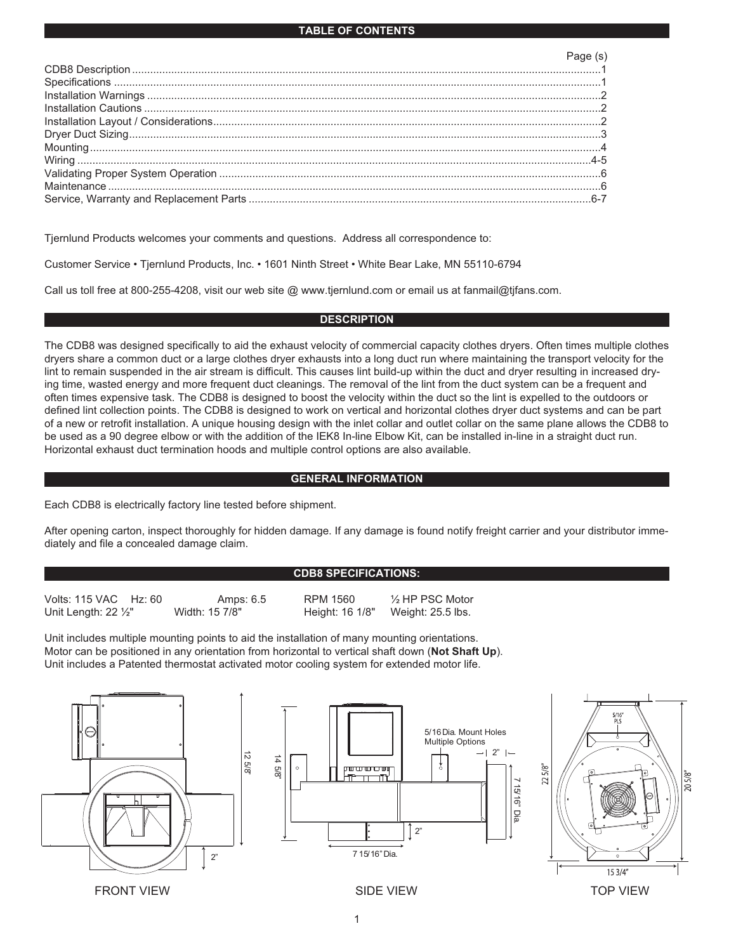| Page (s) |
|----------|
|          |
|          |
|          |
|          |
|          |
|          |
|          |
|          |
|          |
|          |
|          |

Tjernlund Products welcomes your comments and questions. Address all correspondence to:

Customer Service • Tjernlund Products, Inc. • 1601 Ninth Street • White Bear Lake, MN 55110-6794

Call us toll free at 800-255-4208, visit our web site @ www.tjernlund.com or email us at fanmail@tjfans.com.

#### **DESCRIPTION**

The CDB8 was designed specifically to aid the exhaust velocity of commercial capacity clothes dryers. Often times multiple clothes dryers share a common duct or a large clothes dryer exhausts into a long duct run where maintaining the transport velocity for the lint to remain suspended in the air stream is difficult. This causes lint build-up within the duct and dryer resulting in increased drying time, wasted energy and more frequent duct cleanings. The removal of the lint from the duct system can be a frequent and often times expensive task. The CDB8 is designed to boost the velocity within the duct so the lint is expelled to the outdoors or defined lint collection points. The CDB8 is designed to work on vertical and horizontal clothes dryer duct systems and can be part of a new or retrofit installation. A unique housing design with the inlet collar and outlet collar on the same plane allows the CDB8 to be used as a 90 degree elbow or with the addition of the IEK8 In-line Elbow Kit, can be installed in-line in a straight duct run. Horizontal exhaust duct termination hoods and multiple control options are also available.

#### **GENERAL INFORMATION**

Each CDB8 is electrically factory line tested before shipment.

After opening carton, inspect thoroughly for hidden damage. If any damage is found notify freight carrier and your distributor immediately and file a concealed damage claim.

#### **CDB8 SPECIFICATIONS:**

| Volts: 115 VAC Hz: 60          | Amps: 6.5      | RPM 1560        | $\frac{1}{2}$ HP PSC Motor |
|--------------------------------|----------------|-----------------|----------------------------|
| Unit Length: $22\frac{1}{2}$ " | Width: 15 7/8" | Height: 16 1/8" | Weight: 25.5 lbs.          |

Unit includes multiple mounting points to aid the installation of many mounting orientations. Motor can be positioned in any orientation from horizontal to vertical shaft down (**Not Shaft Up**). Unit includes a Patented thermostat activated motor cooling system for extended motor life.





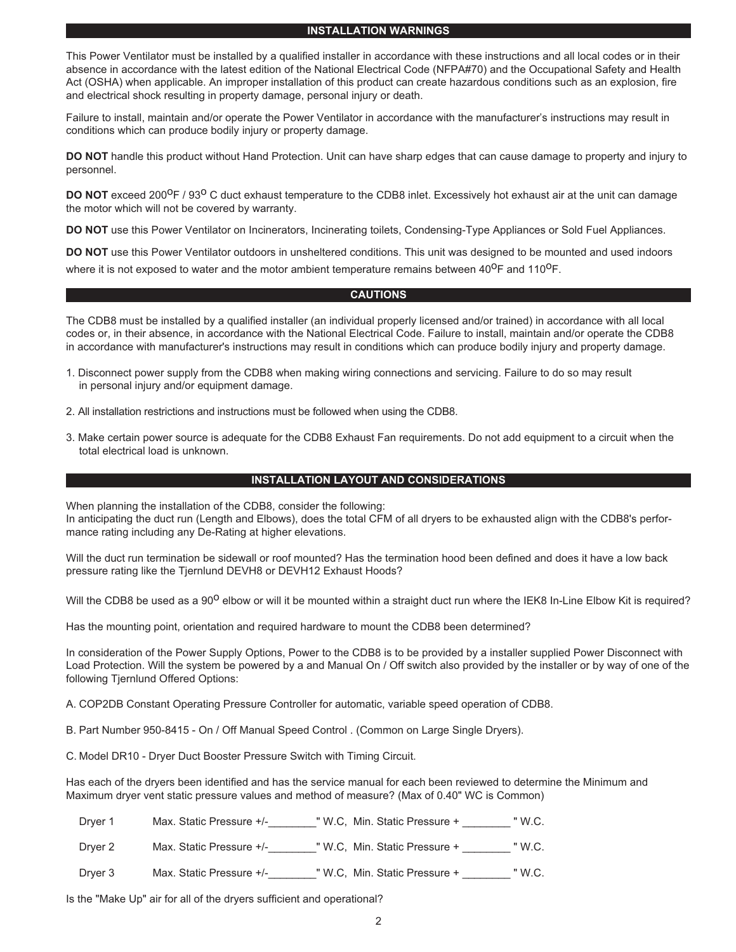#### **INSTALLATION WARNINGS**

This Power Ventilator must be installed by a qualified installer in accordance with these instructions and all local codes or in their absence in accordance with the latest edition of the National Electrical Code (NFPA#70) and the Occupational Safety and Health Act (OSHA) when applicable. An improper installation of this product can create hazardous conditions such as an explosion, fire and electrical shock resulting in property damage, personal injury or death.

Failure to install, maintain and/or operate the Power Ventilator in accordance with the manufacturer's instructions may result in conditions which can produce bodily injury or property damage.

**DO NOT** handle this product without Hand Protection. Unit can have sharp edges that can cause damage to property and injury to personnel.

**DO NOT** exceed 200<sup>O</sup>F / 93<sup>O</sup> C duct exhaust temperature to the CDB8 inlet. Excessively hot exhaust air at the unit can damage the motor which will not be covered by warranty.

**DO NOT** use this Power Ventilator on Incinerators, Incinerating toilets, Condensing-Type Appliances or Sold Fuel Appliances.

**DO NOT** use this Power Ventilator outdoors in unsheltered conditions. This unit was designed to be mounted and used indoors where it is not exposed to water and the motor ambient temperature remains between 40°F and 110°F.

#### **CAUTIONS**

The CDB8 must be installed by a qualified installer (an individual properly licensed and/or trained) in accordance with all local codes or, in their absence, in accordance with the National Electrical Code. Failure to install, maintain and/or operate the CDB8 in accordance with manufacturer's instructions may result in conditions which can produce bodily injury and property damage.

- 1. Disconnect power supply from the CDB8 when making wiring connections and servicing. Failure to do so may result in personal injury and/or equipment damage.
- 2. All installation restrictions and instructions must be followed when using the CDB8.
- 3. Make certain power source is adequate for the CDB8 Exhaust Fan requirements. Do not add equipment to a circuit when the total electrical load is unknown.

#### **INSTALLATION LAYOUT AND CONSIDERATIONS**

When planning the installation of the CDB8, consider the following:

In anticipating the duct run (Length and Elbows), does the total CFM of all dryers to be exhausted align with the CDB8's performance rating including any De-Rating at higher elevations.

Will the duct run termination be sidewall or roof mounted? Has the termination hood been defined and does it have a low back pressure rating like the Tjernlund DEVH8 or DEVH12 Exhaust Hoods?

Will the CDB8 be used as a 90<sup>0</sup> elbow or will it be mounted within a straight duct run where the IEK8 In-Line Elbow Kit is required?

Has the mounting point, orientation and required hardware to mount the CDB8 been determined?

In consideration of the Power Supply Options, Power to the CDB8 is to be provided by a installer supplied Power Disconnect with Load Protection. Will the system be powered by a and Manual On / Off switch also provided by the installer or by way of one of the following Tjernlund Offered Options:

A. COP2DB Constant Operating Pressure Controller for automatic, variable speed operation of CDB8.

B. Part Number 950-8415 - On / Off Manual Speed Control . (Common on Large Single Dryers).

C. Model DR10 - Dryer Duct Booster Pressure Switch with Timing Circuit.

Has each of the dryers been identified and has the service manual for each been reviewed to determine the Minimum and Maximum dryer vent static pressure values and method of measure? (Max of 0.40" WC is Common)

Dryer 1 Max. Static Pressure +/- TW.C, Min. Static Pressure + TW.C.

Dryer 2 Max. Static Pressure +/-\_\_\_\_\_\_\_\_" W.C, Min. Static Pressure + \_\_\_\_\_\_\_\_\_ " W.C.

Dryer 3 Max. Static Pressure +/-\_\_\_\_\_\_\_\_\_" W.C, Min. Static Pressure + \_\_\_\_\_\_\_\_\_ " W.C.

Is the "Make Up" air for all of the dryers sufficient and operational?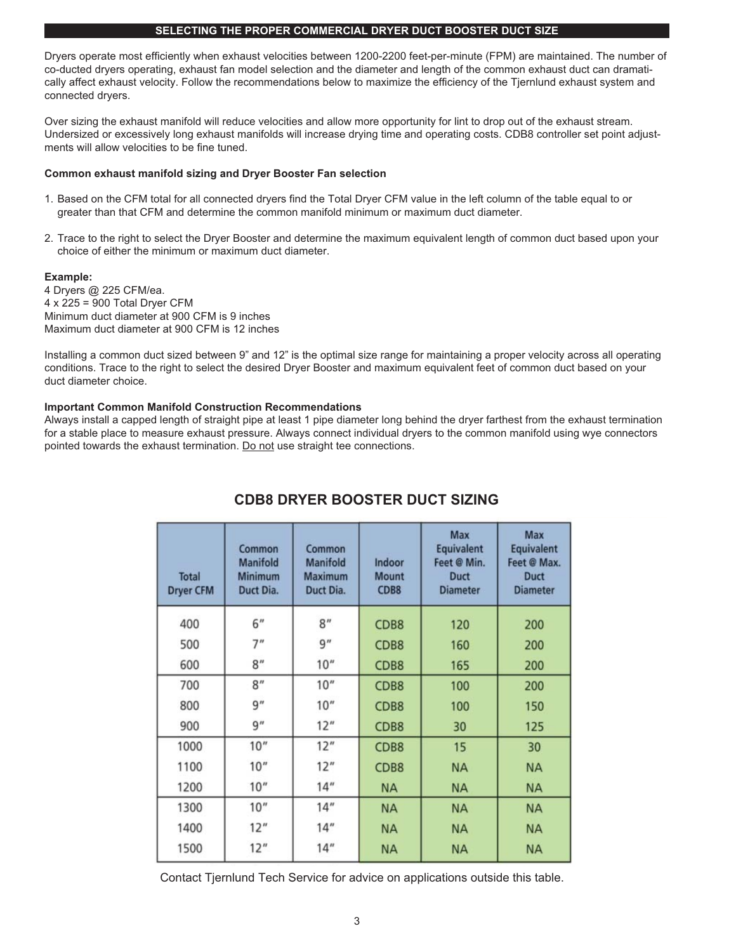#### **SELECTING THE PROPER COMMERCIAL DRYER DUCT BOOSTER DUCT SIZE**

Dryers operate most efficiently when exhaust velocities between 1200-2200 feet-per-minute (FPM) are maintained. The number of co-ducted dryers operating, exhaust fan model selection and the diameter and length of the common exhaust duct can dramatically affect exhaust velocity. Follow the recommendations below to maximize the efficiency of the Tjernlund exhaust system and connected dryers.

Over sizing the exhaust manifold will reduce velocities and allow more opportunity for lint to drop out of the exhaust stream. Undersized or excessively long exhaust manifolds will increase drying time and operating costs. CDB8 controller set point adjustments will allow velocities to be fine tuned.

#### **Common exhaust manifold sizing and Dryer Booster Fan selection**

- 1. Based on the CFM total for all connected dryers find the Total Dryer CFM value in the left column of the table equal to or greater than that CFM and determine the common manifold minimum or maximum duct diameter.
- 2. Trace to the right to select the Dryer Booster and determine the maximum equivalent length of common duct based upon your choice of either the minimum or maximum duct diameter.

#### **Example:**

4 Dryers @ 225 CFM/ea. 4 x 225 = 900 Total Dryer CFM Minimum duct diameter at 900 CFM is 9 inches Maximum duct diameter at 900 CFM is 12 inches

Installing a common duct sized between 9" and 12" is the optimal size range for maintaining a proper velocity across all operating conditions. Trace to the right to select the desired Dryer Booster and maximum equivalent feet of common duct based on your duct diameter choice.

#### **Important Common Manifold Construction Recommendations**

Always install a capped length of straight pipe at least 1 pipe diameter long behind the dryer farthest from the exhaust termination for a stable place to measure exhaust pressure. Always connect individual dryers to the common manifold using wye connectors pointed towards the exhaust termination. Do not use straight tee connections.

| <b>Total</b><br><b>Dryer CFM</b> | Common<br><b>Manifold</b><br><b>Minimum</b><br>Duct Dia. | Common<br><b>Manifold</b><br><b>Maximum</b><br>Duct Dia. | Indoor<br><b>Mount</b><br>CDB8 | Max<br><b>Equivalent</b><br>Feet @ Min.<br><b>Duct</b><br><b>Diameter</b> | <b>Max</b><br>Equivalent<br>Feet @ Max.<br><b>Duct</b><br><b>Diameter</b> |
|----------------------------------|----------------------------------------------------------|----------------------------------------------------------|--------------------------------|---------------------------------------------------------------------------|---------------------------------------------------------------------------|
| 400                              | 6"                                                       | 8 <sup>n</sup>                                           | CDB8                           | 120                                                                       | 200                                                                       |
| 500                              | 7"                                                       | 9''                                                      | CDB8                           | 160                                                                       | 200                                                                       |
| 600                              | 8"                                                       | 10"                                                      | CDB8                           | 165                                                                       | 200                                                                       |
| 700                              | 8''                                                      | 10"                                                      | CDB8                           | 100                                                                       | 200                                                                       |
| 800                              | 9''                                                      | 10"                                                      | CDB8                           | 100                                                                       | 150                                                                       |
| 900                              | 9''                                                      | 12"                                                      | CDB8                           | 30                                                                        | 125                                                                       |
| 1000                             | 10"                                                      | 12"                                                      | CDB8                           | 15                                                                        | 30                                                                        |
| 1100                             | 10 <sup>n</sup>                                          | 12"                                                      | CDB8                           | <b>NA</b>                                                                 | <b>NA</b>                                                                 |
| 1200                             | 10 <sup>''</sup>                                         | 14"                                                      | <b>NA</b>                      | <b>NA</b>                                                                 | <b>NA</b>                                                                 |
| 1300                             | 10"                                                      | 14"                                                      | <b>NA</b>                      | <b>NA</b>                                                                 | <b>NA</b>                                                                 |
| 1400                             | 12"                                                      | 14"                                                      | <b>NA</b>                      | <b>NA</b>                                                                 | <b>NA</b>                                                                 |
| 1500                             | 12"                                                      | 14"                                                      | <b>NA</b>                      | <b>NA</b>                                                                 | <b>NA</b>                                                                 |

## **CDB8 DRYER BOOSTER DUCT SIZING**

Contact Tjernlund Tech Service for advice on applications outside this table.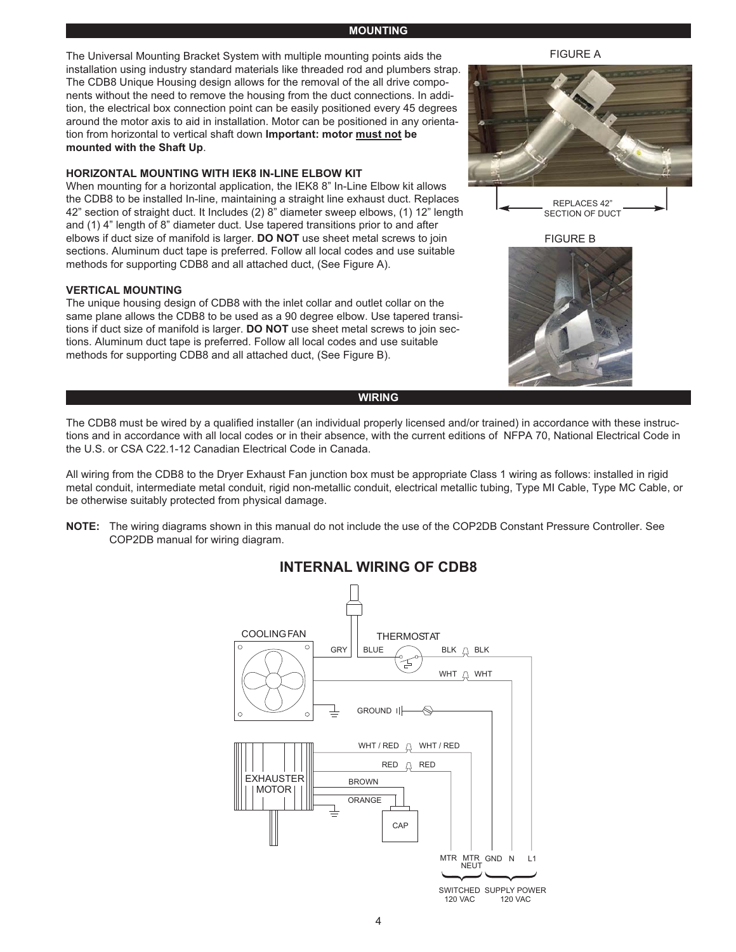#### **MOUNTING**

The Universal Mounting Bracket System with multiple mounting points aids the installation using industry standard materials like threaded rod and plumbers strap. The CDB8 Unique Housing design allows for the removal of the all drive components without the need to remove the housing from the duct connections. In addition, the electrical box connection point can be easily positioned every 45 degrees around the motor axis to aid in installation. Motor can be positioned in any orientation from horizontal to vertical shaft down **Important: motor must not be mounted with the Shaft Up**.

#### **HORIZONTAL MOUNTING WITH IEK8 IN-LINE ELBOW KIT**

When mounting for a horizontal application, the IEK8 8" In-Line Elbow kit allows the CDB8 to be installed In-line, maintaining a straight line exhaust duct. Replaces 42" section of straight duct. It Includes (2) 8" diameter sweep elbows, (1) 12" length and (1) 4" length of 8" diameter duct. Use tapered transitions prior to and after elbows if duct size of manifold is larger. **DO NOT** use sheet metal screws to join sections. Aluminum duct tape is preferred. Follow all local codes and use suitable methods for supporting CDB8 and all attached duct, (See Figure A).

#### **VERTICAL MOUNTING**

The unique housing design of CDB8 with the inlet collar and outlet collar on the same plane allows the CDB8 to be used as a 90 degree elbow. Use tapered transitions if duct size of manifold is larger. **DO NOT** use sheet metal screws to join sections. Aluminum duct tape is preferred. Follow all local codes and use suitable methods for supporting CDB8 and all attached duct, (See Figure B).

#### **WIRING**

The CDB8 must be wired by a qualified installer (an individual properly licensed and/or trained) in accordance with these instructions and in accordance with all local codes or in their absence, with the current editions of NFPA 70, National Electrical Code in the U.S. or CSA C22.1-12 Canadian Electrical Code in Canada.

All wiring from the CDB8 to the Dryer Exhaust Fan junction box must be appropriate Class 1 wiring as follows: installed in rigid metal conduit, intermediate metal conduit, rigid non-metallic conduit, electrical metallic tubing, Type MI Cable, Type MC Cable, or be otherwise suitably protected from physical damage.

**NOTE:** The wiring diagrams shown in this manual do not include the use of the COP2DB Constant Pressure Controller. See COP2DB manual for wiring diagram.



### **INTERNAL WIRING OF CDB8**

FIGURE A



REPLACES 42" SECTION OF DUCT

FIGURE B

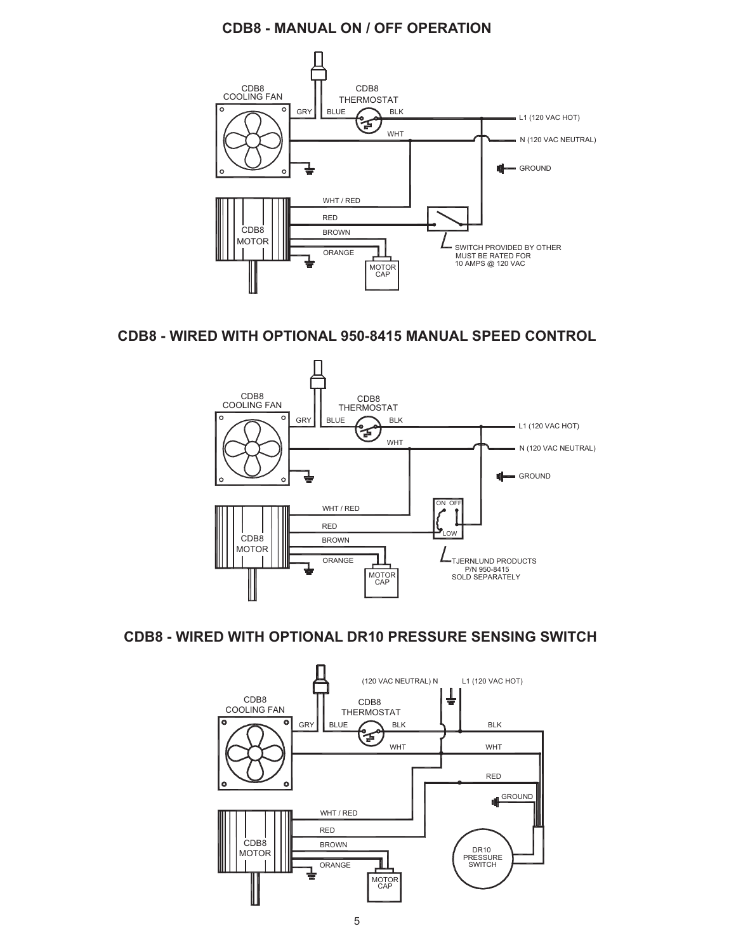## **CDB8 - MANUAL ON / OFF OPERATION**



### **CDB8 - WIRED WITH OPTIONAL 950-8415 MANUAL SPEED CONTROL**



### **CDB8 - WIRED WITH OPTIONAL DR10 PRESSURE SENSING SWITCH**

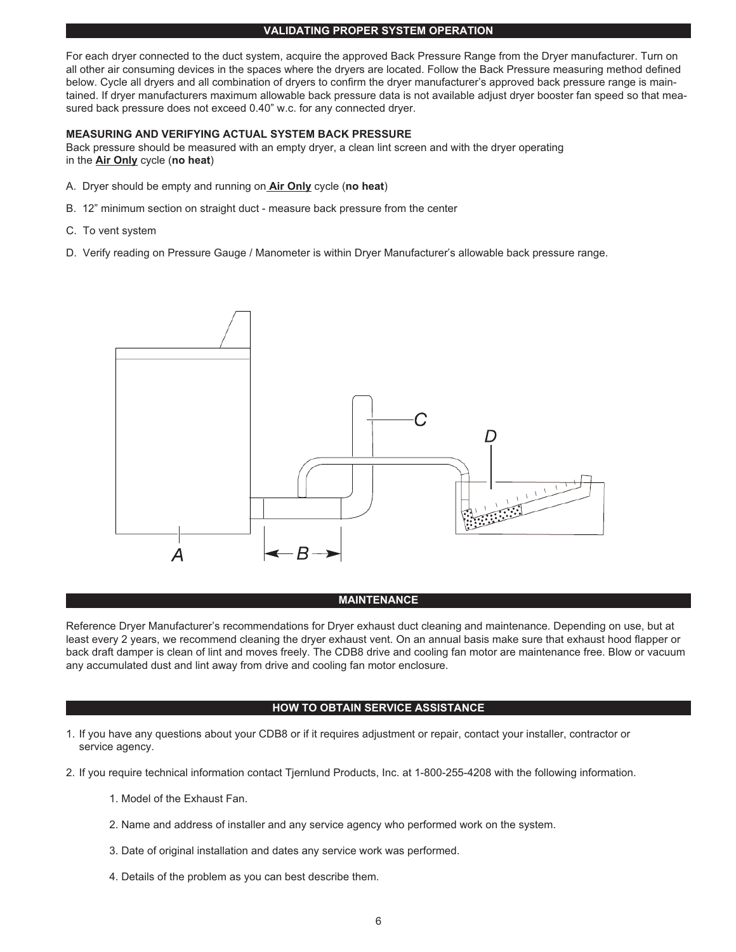#### **VALIDATING PROPER SYSTEM OPERATION**

For each dryer connected to the duct system, acquire the approved Back Pressure Range from the Dryer manufacturer. Turn on all other air consuming devices in the spaces where the dryers are located. Follow the Back Pressure measuring method defined below. Cycle all dryers and all combination of dryers to confirm the dryer manufacturer's approved back pressure range is maintained. If dryer manufacturers maximum allowable back pressure data is not available adjust dryer booster fan speed so that measured back pressure does not exceed 0.40" w.c. for any connected dryer.

#### **MEASURING AND VERIFYING ACTUAL SYSTEM BACK PRESSURE**

Back pressure should be measured with an empty dryer, a clean lint screen and with the dryer operating in the **Air Only** cycle (**no heat**)

- A. Dryer should be empty and running on **Air Only** cycle (**no heat**)
- B. 12" minimum section on straight duct measure back pressure from the center
- C. To vent system
- D. Verify reading on Pressure Gauge / Manometer is within Dryer Manufacturer's allowable back pressure range.



#### **MAINTENANCE**

Reference Dryer Manufacturer's recommendations for Dryer exhaust duct cleaning and maintenance. Depending on use, but at least every 2 years, we recommend cleaning the dryer exhaust vent. On an annual basis make sure that exhaust hood flapper or back draft damper is clean of lint and moves freely. The CDB8 drive and cooling fan motor are maintenance free. Blow or vacuum any accumulated dust and lint away from drive and cooling fan motor enclosure.

#### **HOW TO OBTAIN SERVICE ASSISTANCE**

- 1. If you have any questions about your CDB8 or if it requires adjustment or repair, contact your installer, contractor or service agency.
- 2. If you require technical information contact Tjernlund Products, Inc. at 1-800-255-4208 with the following information.
	- 1. Model of the Exhaust Fan.
	- 2. Name and address of installer and any service agency who performed work on the system.
	- 3. Date of original installation and dates any service work was performed.
	- 4. Details of the problem as you can best describe them.